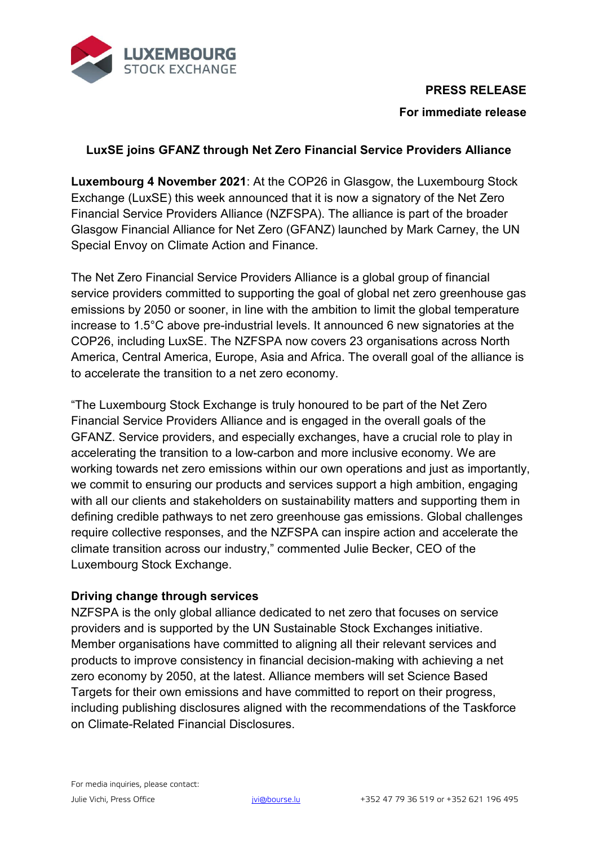

## **PRESS RELEASE**

### **For immediate release**

# **LuxSE joins GFANZ through Net Zero Financial Service Providers Alliance**

**Luxembourg 4 November 2021**: At the COP26 in Glasgow, the Luxembourg Stock Exchange (LuxSE) this week announced that it is now a signatory of the Net Zero Financial Service Providers Alliance (NZFSPA). The alliance is part of the broader Glasgow Financial Alliance for Net Zero (GFANZ) launched by Mark Carney, the UN Special Envoy on Climate Action and Finance.

The Net Zero Financial Service Providers Alliance is a global group of financial service providers committed to supporting the goal of global net zero greenhouse gas emissions by 2050 or sooner, in line with the ambition to limit the global temperature increase to 1.5°C above pre-industrial levels. It announced 6 new signatories at the COP26, including LuxSE. The NZFSPA now covers 23 organisations across North America, Central America, Europe, Asia and Africa. The overall goal of the alliance is to accelerate the transition to a net zero economy.

"The Luxembourg Stock Exchange is truly honoured to be part of the Net Zero Financial Service Providers Alliance and is engaged in the overall goals of the GFANZ. Service providers, and especially exchanges, have a crucial role to play in accelerating the transition to a low-carbon and more inclusive economy. We are working towards net zero emissions within our own operations and just as importantly, we commit to ensuring our products and services support a high ambition, engaging with all our clients and stakeholders on sustainability matters and supporting them in defining credible pathways to net zero greenhouse gas emissions. Global challenges require collective responses, and the NZFSPA can inspire action and accelerate the climate transition across our industry," commented Julie Becker, CEO of the Luxembourg Stock Exchange.

#### **Driving change through services**

NZFSPA is the only global alliance dedicated to net zero that focuses on service providers and is supported by the UN Sustainable Stock Exchanges initiative. Member organisations have committed to aligning all their relevant services and products to improve consistency in financial decision-making with achieving a net zero economy by 2050, at the latest. Alliance members will set Science Based Targets for their own emissions and have committed to report on their progress, including publishing disclosures aligned with the recommendations of the Taskforce on Climate-Related Financial Disclosures.